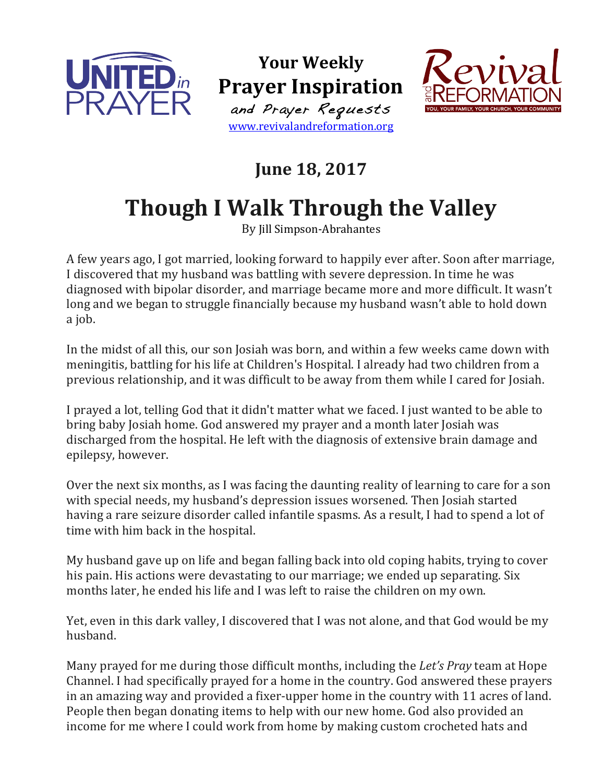

**Your Weekly Prayer Inspiration** and Prayer Requests www.revivalandreformation.org



## **June 18, 2017**

## **Though I Walk Through the Valley**

By Jill Simpson-Abrahantes

A few years ago, I got married, looking forward to happily ever after. Soon after marriage, I discovered that my husband was battling with severe depression. In time he was diagnosed with bipolar disorder, and marriage became more and more difficult. It wasn't long and we began to struggle financially because my husband wasn't able to hold down a job.

In the midst of all this, our son Josiah was born, and within a few weeks came down with meningitis, battling for his life at Children's Hospital. I already had two children from a previous relationship, and it was difficult to be away from them while I cared for Josiah.

I prayed a lot, telling God that it didn't matter what we faced. I just wanted to be able to bring baby Josiah home. God answered my prayer and a month later Josiah was discharged from the hospital. He left with the diagnosis of extensive brain damage and epilepsy, however.

Over the next six months, as I was facing the daunting reality of learning to care for a son with special needs, my husband's depression issues worsened. Then Josiah started having a rare seizure disorder called infantile spasms. As a result, I had to spend a lot of time with him back in the hospital.

My husband gave up on life and began falling back into old coping habits, trying to cover his pain. His actions were devastating to our marriage; we ended up separating. Six months later, he ended his life and I was left to raise the children on my own.

Yet, even in this dark valley, I discovered that I was not alone, and that God would be my husband.

Many prayed for me during those difficult months, including the *Let's Pray* team at Hope Channel. I had specifically prayed for a home in the country. God answered these prayers in an amazing way and provided a fixer-upper home in the country with 11 acres of land. People then began donating items to help with our new home. God also provided an income for me where I could work from home by making custom crocheted hats and